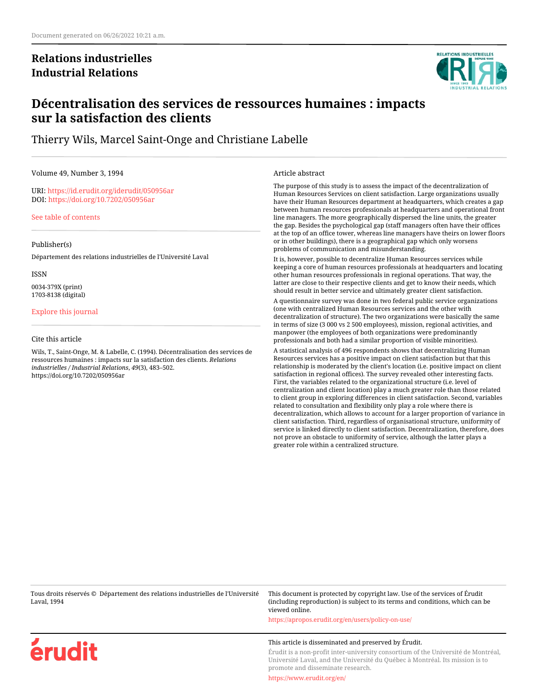## **Relations industrielles Industrial Relations**



## **Décentralisation des services de ressources humaines : impacts sur la satisfaction des clients**

Thierry Wils, Marcel Saint-Onge and Christiane Labelle

Volume 49, Number 3, 1994

URI:<https://id.erudit.org/iderudit/050956ar> DOI:<https://doi.org/10.7202/050956ar>

[See table of contents](https://www.erudit.org/en/journals/ri/1994-v49-n3-ri1176/)

#### Publisher(s)

Département des relations industrielles de l'Université Laval

ISSN 0034-379X (print) 1703-8138 (digital)

## [Explore this journal](https://www.erudit.org/en/journals/ri/)

#### Cite this article

Wils, T., Saint-Onge, M. & Labelle, C. (1994). Décentralisation des services de ressources humaines : impacts sur la satisfaction des clients. *Relations industrielles / Industrial Relations*, *49*(3), 483–502. https://doi.org/10.7202/050956ar

Article abstract

The purpose of this study is to assess the impact of the decentralization of Human Resources Services on client satisfaction. Large organizations usually have their Human Resources department at headquarters, which creates a gap between human resources professionals at headquarters and operational front line managers. The more geographically dispersed the line units, the greater the gap. Besides the psychological gap (staff managers often have their offices at the top of an office tower, whereas line managers have theirs on lower floors or in other buildings), there is a geographical gap which only worsens problems of communication and misunderstanding.

It is, however, possible to decentralize Human Resources services while keeping a core of human resources professionals at headquarters and locating other human resources professionals in regional operations. That way, the latter are close to their respective clients and get to know their needs, which should result in better service and ultimately greater client satisfaction.

A questionnaire survey was done in two federal public service organizations (one with centralized Human Resources services and the other with decentralization of structure). The two organizations were basically the same in terms of size (3 000 vs 2 500 employees), mission, regional activities, and manpower (the employees of both organizations were predominantly professionals and both had a similar proportion of visible minorities).

A statistical analysis of 496 respondents shows that decentralizing Human Resources services has a positive impact on client satisfaction but that this relationship is moderated by the client's location (i.e. positive impact on client satisfaction in regional offices). The survey revealed other interesting facts. First, the variables related to the organizational structure (i.e. level of centralization and client location) play a much greater role than those related to client group in exploring differences in client satisfaction. Second, variables related to consultation and flexibility only play a role where there is decentralization, which allows to account for a larger proportion of variance in client satisfaction. Third, regardless of organisational structure, uniformity of service is linked directly to client satisfaction. Decentralization, therefore, does not prove an obstacle to uniformity of service, although the latter plays a greater role within a centralized structure.

Tous droits réservés © Département des relations industrielles de l'Université Laval, 1994 This document is protected by copyright law. Use of the services of Érudit (including reproduction) is subject to its terms and conditions, which can be viewed online. <https://apropos.erudit.org/en/users/policy-on-use/>



This article is disseminated and preserved by Érudit.

Érudit is a non-profit inter-university consortium of the Université de Montréal, Université Laval, and the Université du Québec à Montréal. Its mission is to promote and disseminate research.

<https://www.erudit.org/en/>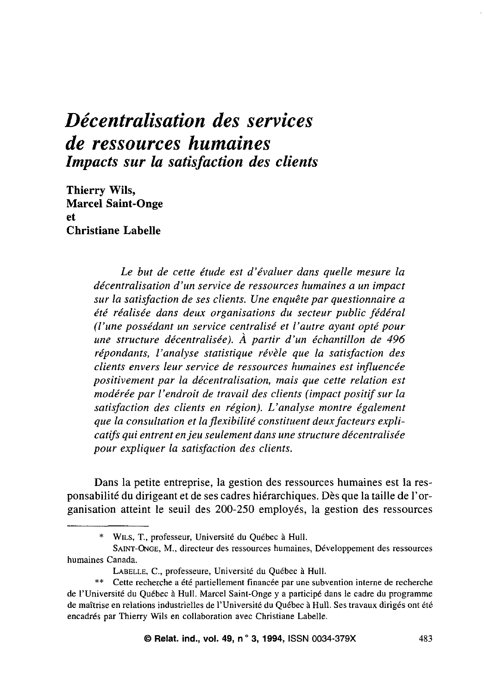# Décentralisation des services *de ressources humaines* **Impacts sur la satisfaction des clients**

Thierry Wils, **Marcel Saint-Onge** et. **Christiane Labelle** 

> Le but de cette étude est d'évaluer dans quelle mesure la décentralisation d'un service de ressources humaines a un impact sur la satisfaction de ses clients. Une enquête par questionnaire a été réalisée dans deux organisations du secteur public fédéral (l'une possédant un service centralisé et l'autre avant opté pour une structure décentralisée). À partir d'un échantillon de 496 répondants, l'analyse statistique révèle que la satisfaction des clients envers leur service de ressources humaines est influencée positivement par la décentralisation, mais que cette relation est modérée par l'endroit de travail des clients (impact positif sur la satisfaction des clients en région). L'analyse montre également que la consultation et la flexibilité constituent deux facteurs explicatifs qui entrent en jeu seulement dans une structure décentralisée pour expliquer la satisfaction des clients.

Dans la petite entreprise, la gestion des ressources humaines est la responsabilité du dirigeant et de ses cadres hiérarchiques. Dès que la taille de l'organisation atteint le seuil des 200-250 employés, la gestion des ressources

<sup>\*</sup> WILS, T., professeur, Université du Québec à Hull.

SAINT-ONGE, M., directeur des ressources humaines, Développement des ressources humaines Canada.

LABELLE, C., professeure, Université du Québec à Hull.

<sup>\*\*</sup> Cette recherche a été partiellement financée par une subvention interne de recherche de l'Université du Québec à Hull. Marcel Saint-Onge y a participé dans le cadre du programme de maîtrise en relations industrielles de l'Université du Québec à Hull. Ses travaux dirigés ont été encadrés par Thierry Wils en collaboration avec Christiane Labelle.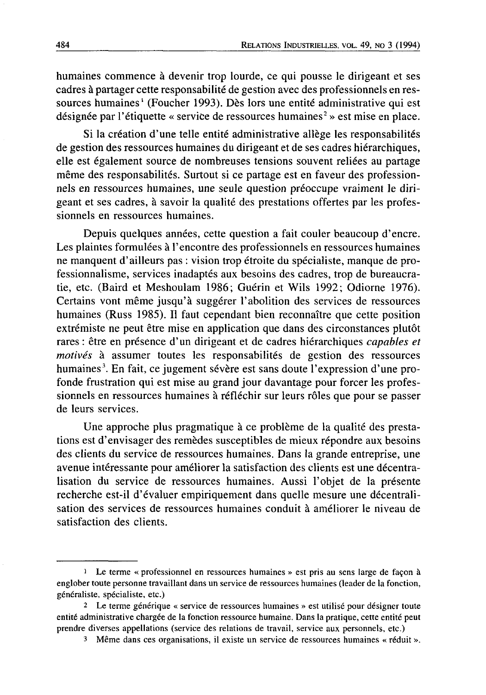humaines commence à devenir trop lourde, ce qui pousse le dirigeant et ses cadres à partager cette responsabilité de gestion avec des professionnels en ressources humaines<sup>1</sup> (Foucher 1993). Dès lors une entité administrative qui est désignée par l'étiquette « service de ressources humaines<sup>2</sup> » est mise en place.

Si la création d'une telle entité administrative allège les responsabilités de gestion des ressources humaines du dirigeant et de ses cadres hiérarchiques, elle est également source de nombreuses tensions souvent reliées au partage même des responsabilités. Surtout si ce partage est en faveur des professionnels en ressources humaines, une seule question préoccupe vraiment le dirigeant et ses cadres, à savoir la qualité des prestations offertes par les professionnels en ressources humaines.

Depuis quelques années, cette question a fait couler beaucoup d'encre. Les plaintes formulées à l'encontre des professionnels en ressources humaines ne manquent d'ailleurs pas : vision trop étroite du spécialiste, manque de professionnalisme, services inadaptés aux besoins des cadres, trop de bureaucratie, etc. (Baird et Meshoulam 1986; Guérin et Wils 1992; Odiorne 1976). Certains vont même jusqu'à suggérer l'abolition des services de ressources humaines (Russ 1985). Il faut cependant bien reconnaître que cette position extrémiste ne peut être mise en application que dans des circonstances plutôt rares : être en présence d'un dirigeant et de cadres hiérarchiques capables et motivés à assumer toutes les responsabilités de gestion des ressources humaines<sup>3</sup>. En fait, ce jugement sévère est sans doute l'expression d'une profonde frustration qui est mise au grand jour davantage pour forcer les professionnels en ressources humaines à réfléchir sur leurs rôles que pour se passer de leurs services.

Une approche plus pragmatique à ce problème de la qualité des prestations est d'envisager des remèdes susceptibles de mieux répondre aux besoins des clients du service de ressources humaines. Dans la grande entreprise, une avenue intéressante pour améliorer la satisfaction des clients est une décentralisation du service de ressources humaines. Aussi l'objet de la présente recherche est-il d'évaluer empiriquement dans quelle mesure une décentralisation des services de ressources humaines conduit à améliorer le niveau de satisfaction des clients.

<sup>&</sup>lt;sup>1</sup> Le terme « professionnel en ressources humaines » est pris au sens large de façon à englober toute personne travaillant dans un service de ressources humaines (leader de la fonction, généraliste, spécialiste, etc.)

<sup>2</sup> Le terme générique « service de ressources humaines » est utilisé pour désigner toute entité administrative chargée de la fonction ressource humaine. Dans la pratique, cette entité peut prendre diverses appellations (service des relations de travail, service aux personnels, etc.)

<sup>&</sup>lt;sup>3</sup> Même dans ces organisations, il existe un service de ressources humaines « réduit ».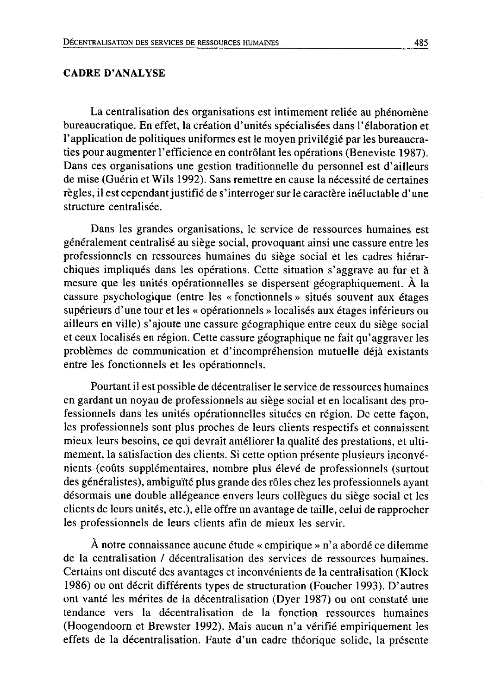## **CADRE D'ANALYSE**

La centralisation des organisations est intimement reliée au phénomène bureaucratique. En effet, la création d'unités spécialisées dans l'élaboration et l'application de politiques uniformes est le moyen privilégié par les bureaucraties pour augmenter l'efficience en contrôlant les opérations (Beneviste 1987). Dans ces organisations une gestion traditionnelle du personnel est d'ailleurs de mise (Guérin et Wils 1992). Sans remettre en cause la nécessité de certaines règles, il est cependant justifié de s'interroger sur le caractère inéluctable d'une structure centralisée.

Dans les grandes organisations, le service de ressources humaines est généralement centralisé au siège social, provoquant ainsi une cassure entre les professionnels en ressources humaines du siège social et les cadres hiérarchiques impliqués dans les opérations. Cette situation s'aggrave au fur et à mesure que les unités opérationnelles se dispersent géographiquement. À la cassure psychologique (entre les « fonctionnels » situés souvent aux étages supérieurs d'une tour et les « opérationnels » localisés aux étages inférieurs ou ailleurs en ville) s'ajoute une cassure géographique entre ceux du siège social et ceux localisés en région. Cette cassure géographique ne fait qu'aggraver les problèmes de communication et d'incompréhension mutuelle déjà existants entre les fonctionnels et les opérationnels.

Pourtant il est possible de décentraliser le service de ressources humaines en gardant un noyau de professionnels au siège social et en localisant des professionnels dans les unités opérationnelles situées en région. De cette façon, les professionnels sont plus proches de leurs clients respectifs et connaissent mieux leurs besoins, ce qui devrait améliorer la qualité des prestations, et ultimement, la satisfaction des clients. Si cette option présente plusieurs inconvénients (coûts supplémentaires, nombre plus élevé de professionnels (surtout des généralistes), ambiguïté plus grande des rôles chez les professionnels ayant désormais une double allégeance envers leurs collègues du siège social et les clients de leurs unités, etc.), elle offre un avantage de taille, celui de rapprocher les professionnels de leurs clients afin de mieux les servir.

À notre connaissance aucune étude « empirique » n'a abordé ce dilemme de la centralisation / décentralisation des services de ressources humaines. Certains ont discuté des avantages et inconvénients de la centralisation (Klock 1986) ou ont décrit différents types de structuration (Foucher 1993). D'autres ont vanté les mérites de la décentralisation (Dyer 1987) ou ont constaté une tendance vers la décentralisation de la fonction ressources humaines (Hoogendoorn et Brewster 1992). Mais aucun n'a vérifié empiriquement les effets de la décentralisation. Faute d'un cadre théorique solide, la présente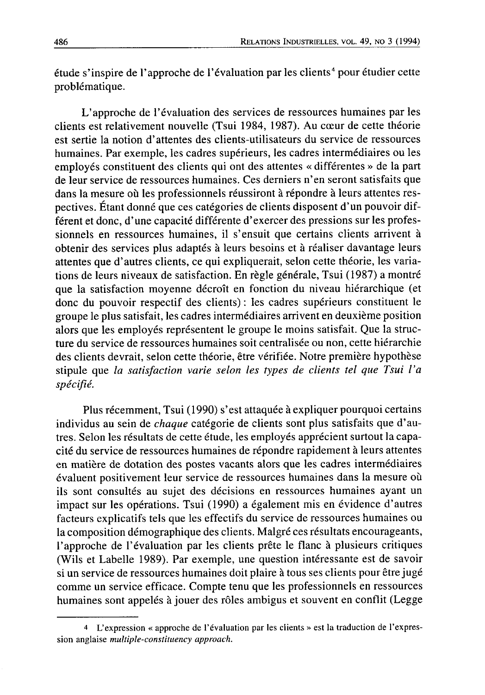étude s'inspire de l'approche de l'évaluation par les clients<sup>4</sup> pour étudier cette problématique.

L'approche de l'évaluation des services de ressources humaines par les clients est relativement nouvelle (Tsui 1984, 1987). Au cœur de cette théorie est sertie la notion d'attentes des clients-utilisateurs du service de ressources humaines. Par exemple, les cadres supérieurs, les cadres intermédiaires ou les employés constituent des clients qui ont des attentes « différentes » de la part de leur service de ressources humaines. Ces derniers n'en seront satisfaits que dans la mesure où les professionnels réussiront à répondre à leurs attentes respectives. Étant donné que ces catégories de clients disposent d'un pouvoir différent et donc, d'une capacité différente d'exercer des pressions sur les professionnels en ressources humaines, il s'ensuit que certains clients arrivent à obtenir des services plus adaptés à leurs besoins et à réaliser davantage leurs attentes que d'autres clients, ce qui expliquerait, selon cette théorie, les variations de leurs niveaux de satisfaction. En règle générale, Tsui (1987) a montré que la satisfaction moyenne décroît en fonction du niveau hiérarchique (et donc du pouvoir respectif des clients): les cadres supérieurs constituent le groupe le plus satisfait, les cadres intermédiaires arrivent en deuxième position alors que les employés représentent le groupe le moins satisfait. Que la structure du service de ressources humaines soit centralisée ou non, cette hiérarchie des clients devrait, selon cette théorie, être vérifiée. Notre première hypothèse stipule que la satisfaction varie selon les types de clients tel que Tsui l'a spécifié.

Plus récemment, Tsui (1990) s'est attaquée à expliquer pourquoi certains individus au sein de chaque catégorie de clients sont plus satisfaits que d'autres. Selon les résultats de cette étude, les employés apprécient surtout la capacité du service de ressources humaines de répondre rapidement à leurs attentes en matière de dotation des postes vacants alors que les cadres intermédiaires évaluent positivement leur service de ressources humaines dans la mesure où ils sont consultés au sujet des décisions en ressources humaines ayant un impact sur les opérations. Tsui (1990) a également mis en évidence d'autres facteurs explicatifs tels que les effectifs du service de ressources humaines ou la composition démographique des clients. Malgré ces résultats encourageants, l'approche de l'évaluation par les clients prête le flanc à plusieurs critiques (Wils et Labelle 1989). Par exemple, une question intéressante est de savoir si un service de ressources humaines doit plaire à tous ses clients pour être jugé comme un service efficace. Compte tenu que les professionnels en ressources humaines sont appelés à jouer des rôles ambigus et souvent en conflit (Legge

<sup>4</sup> L'expression « approche de l'évaluation par les clients » est la traduction de l'expression anglaise multiple-constituency approach.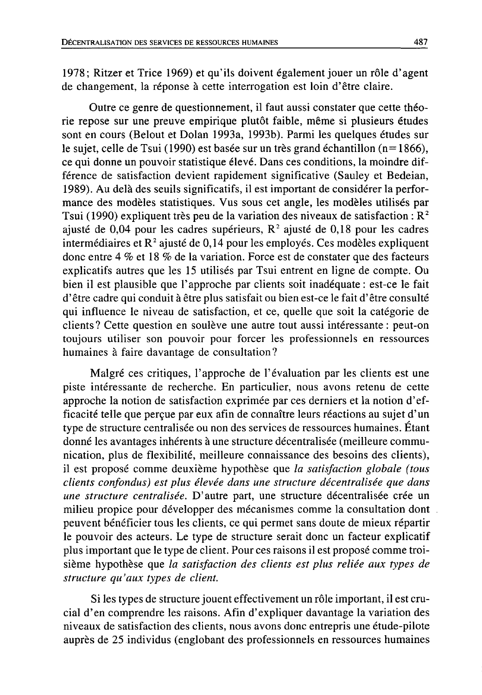1978; Ritzer et Trice 1969) et qu'ils doivent également jouer un rôle d'agent de changement, la réponse à cette interrogation est loin d'être claire.

Outre ce genre de questionnement, il faut aussi constater que cette théorie repose sur une preuve empirique plutôt faible, même si plusieurs études sont en cours (Belout et Dolan 1993a, 1993b). Parmi les quelques études sur le sujet, celle de Tsui (1990) est basée sur un très grand échantillon ( $n=1866$ ), ce qui donne un pouvoir statistique élevé. Dans ces conditions, la moindre différence de satisfaction devient rapidement significative (Sauley et Bedeian, 1989). Au delà des seuils significatifs, il est important de considérer la performance des modèles statistiques. Vus sous cet angle, les modèles utilisés par Tsui (1990) expliquent très peu de la variation des niveaux de satisfaction :  $R^2$ ajusté de 0,04 pour les cadres supérieurs,  $R^2$  ajusté de 0,18 pour les cadres intermédiaires et  $R^2$  ajusté de 0,14 pour les employés. Ces modèles expliquent donc entre 4  $%$  et 18  $%$  de la variation. Force est de constater que des facteurs explicatifs autres que les 15 utilisés par Tsui entrent en ligne de compte. Ou bien il est plausible que l'approche par clients soit inadéquate : est-ce le fait d'être cadre qui conduit à être plus satisfait ou bien est-ce le fait d'être consulté qui influence le niveau de satisfaction, et ce, quelle que soit la catégorie de clients? Cette question en soulève une autre tout aussi intéressante : peut-on toujours utiliser son pouvoir pour forcer les professionnels en ressources humaines à faire davantage de consultation?

Malgré ces critiques, l'approche de l'évaluation par les clients est une piste intéressante de recherche. En particulier, nous avons retenu de cette approche la notion de satisfaction exprimée par ces derniers et la notion d'efficacité telle que perçue par eux afin de connaître leurs réactions au sujet d'un type de structure centralisée ou non des services de ressources humaines. Étant donné les avantages inhérents à une structure décentralisée (meilleure communication, plus de flexibilité, meilleure connaissance des besoins des clients), il est proposé comme deuxième hypothèse que la satisfaction globale (tous clients confondus) est plus élevée dans une structure décentralisée que dans une structure centralisée. D'autre part, une structure décentralisée crée un milieu propice pour développer des mécanismes comme la consultation dont peuvent bénéficier tous les clients, ce qui permet sans doute de mieux répartir le pouvoir des acteurs. Le type de structure serait donc un facteur explicatif plus important que le type de client. Pour ces raisons il est proposé comme troisième hypothèse que la satisfaction des clients est plus reliée aux types de structure qu'aux types de client.

Si les types de structure jouent effectivement un rôle important, il est crucial d'en comprendre les raisons. Afin d'expliquer davantage la variation des niveaux de satisfaction des clients, nous avons donc entrepris une étude-pilote auprès de 25 individus (englobant des professionnels en ressources humaines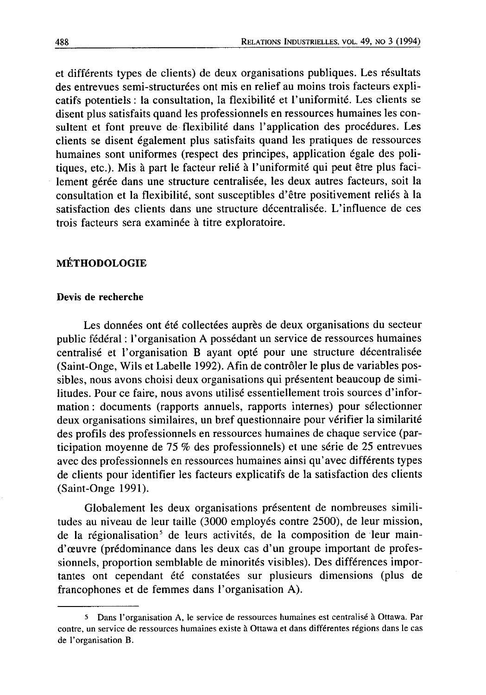et différents types de clients) de deux organisations publiques. Les résultats des entrevues semi-structurées ont mis en relief au moins trois facteurs explicatifs potentiels : la consultation, la flexibilité et l'uniformité. Les clients se disent plus satisfaits quand les professionnels en ressources humaines les consultent et font preuve de flexibilité dans l'application des procédures. Les clients se disent également plus satisfaits quand les pratiques de ressources humaines sont uniformes (respect des principes, application égale des politiques, etc.). Mis à part le facteur relié à l'uniformité qui peut être plus facilement gérée dans une structure centralisée, les deux autres facteurs, soit la consultation et la flexibilité, sont susceptibles d'être positivement reliés à la satisfaction des clients dans une structure décentralisée. L'influence de ces trois facteurs sera examinée à titre exploratoire.

## **MÉTHODOLOGIE**

#### Devis de recherche

Les données ont été collectées auprès de deux organisations du secteur public fédéral : l'organisation A possédant un service de ressources humaines centralisé et l'organisation B ayant opté pour une structure décentralisée (Saint-Onge, Wils et Labelle 1992). Afin de contrôler le plus de variables possibles, nous avons choisi deux organisations qui présentent beaucoup de similitudes. Pour ce faire, nous avons utilisé essentiellement trois sources d'information : documents (rapports annuels, rapports internes) pour sélectionner deux organisations similaires, un bref questionnaire pour vérifier la similarité des profils des professionnels en ressources humaines de chaque service (participation moyenne de 75 % des professionnels) et une série de 25 entrevues avec des professionnels en ressources humaines ainsi qu'avec différents types de clients pour identifier les facteurs explicatifs de la satisfaction des clients (Saint-Onge 1991).

Globalement les deux organisations présentent de nombreuses similitudes au niveau de leur taille (3000 employés contre 2500), de leur mission, de la régionalisation<sup>5</sup> de leurs activités, de la composition de leur maind'œuvre (prédominance dans les deux cas d'un groupe important de professionnels, proportion semblable de minorités visibles). Des différences importantes ont cependant été constatées sur plusieurs dimensions (plus de francophones et de femmes dans l'organisation A).

<sup>5</sup> Dans l'organisation A, le service de ressources humaines est centralisé à Ottawa. Par contre, un service de ressources humaines existe à Ottawa et dans différentes régions dans le cas de l'organisation B.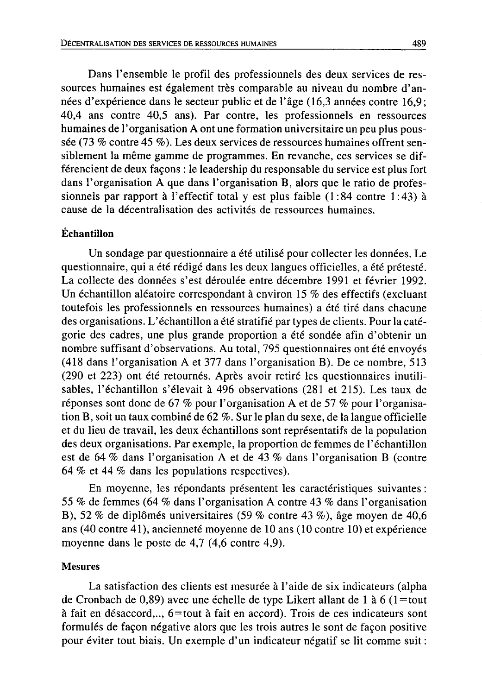Dans l'ensemble le profil des professionnels des deux services de ressources humaines est également très comparable au niveau du nombre d'années d'expérience dans le secteur public et de l'âge (16,3 années contre 16,9; 40.4 ans contre 40.5 ans). Par contre, les professionnels en ressources humaines de l'organisation A ont une formation universitaire un peu plus poussée (73 % contre 45 %). Les deux services de ressources humaines offrent sensiblement la même gamme de programmes. En revanche, ces services se différencient de deux façons : le leadership du responsable du service est plus fort dans l'organisation A que dans l'organisation B, alors que le ratio de professionnels par rapport à l'effectif total y est plus faible  $(1:84$  contre  $1:43$ ) à cause de la décentralisation des activités de ressources humaines.

## Échantillon

Un sondage par questionnaire a été utilisé pour collecter les données. Le questionnaire, qui a été rédigé dans les deux langues officielles, a été prétesté. La collecte des données s'est déroulée entre décembre 1991 et février 1992. Un échantillon aléatoire correspondant à environ 15 % des effectifs (excluant toutefois les professionnels en ressources humaines) a été tiré dans chacune des organisations. L'échantillon a été stratifié par types de clients. Pour la catégorie des cadres, une plus grande proportion a été sondée afin d'obtenir un nombre suffisant d'observations. Au total, 795 questionnaires ont été envoyés (418 dans l'organisation A et 377 dans l'organisation B). De ce nombre, 513 (290 et 223) ont été retournés. Après avoir retiré les questionnaires inutilisables, l'échantillon s'élevait à 496 observations (281 et 215). Les taux de réponses sont donc de 67 % pour l'organisation A et de 57 % pour l'organisation B, soit un taux combiné de 62 %. Sur le plan du sexe, de la langue officielle et du lieu de travail, les deux échantillons sont représentatifs de la population des deux organisations. Par exemple, la proportion de femmes de l'échantillon est de 64 % dans l'organisation A et de 43 % dans l'organisation B (contre 64 % et 44 % dans les populations respectives).

En moyenne, les répondants présentent les caractéristiques suivantes : 55 % de femmes (64 % dans l'organisation A contre 43 % dans l'organisation B), 52 % de diplômés universitaires (59 % contre 43 %), âge moyen de 40,6 ans (40 contre 41), ancienneté moyenne de 10 ans (10 contre 10) et expérience moyenne dans le poste de  $4,7$  (4,6 contre 4,9).

#### **Mesures**

La satisfaction des clients est mesurée à l'aide de six indicateurs (alpha de Cronbach de 0,89) avec une échelle de type Likert allant de 1 à 6 (1=tout à fait en désaccord,.., 6=tout à fait en accord). Trois de ces indicateurs sont formulés de façon négative alors que les trois autres le sont de façon positive pour éviter tout biais. Un exemple d'un indicateur négatif se lit comme suit :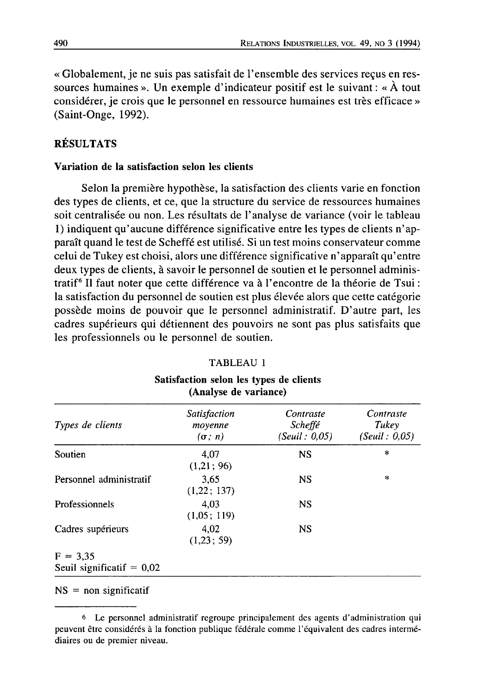« Globalement, je ne suis pas satisfait de l'ensemble des services reçus en ressources humaines ». Un exemple d'indicateur positif est le suivant : «  $\hat{A}$  tout considérer, je crois que le personnel en ressource humaines est très efficace » (Saint-Onge, 1992).

## **RÉSULTATS**

#### Variation de la satisfaction selon les clients

Selon la première hypothèse, la satisfaction des clients varie en fonction des types de clients, et ce, que la structure du service de ressources humaines soit centralisée ou non. Les résultats de l'analyse de variance (voir le tableau 1) indiquent qu'aucune différence significative entre les types de clients n'apparaît quand le test de Scheffé est utilisé. Si un test moins conservateur comme celui de Tukey est choisi, alors une différence significative n'apparaît qu'entre deux types de clients, à savoir le personnel de soutien et le personnel administratif<sup>6</sup> Il faut noter que cette différence va à l'encontre de la théorie de Tsui : la satisfaction du personnel de soutien est plus élevée alors que cette catégorie possède moins de pouvoir que le personnel administratif. D'autre part, les cadres supérieurs qui détiennent des pouvoirs ne sont pas plus satisfaits que les professionnels ou le personnel de soutien.

| Types de clients                          | <b>Satisfaction</b><br>moyenne<br>$(\sigma; n)$ | Contraste<br><i>Scheffé</i><br>(Seuil : 0,05) | Contraste<br>Tukey<br>(Seuil: 0,05) |  |
|-------------------------------------------|-------------------------------------------------|-----------------------------------------------|-------------------------------------|--|
| Soutien                                   | 4.07<br>(1,21; 96)                              | <b>NS</b>                                     | $\ast$                              |  |
| Personnel administratif                   | 3.65<br>(1,22; 137)                             | <b>NS</b>                                     | $\ast$                              |  |
| Professionnels                            | 4.03<br>(1,05; 119)                             | <b>NS</b>                                     |                                     |  |
| Cadres supérieurs                         | 4.02<br>(1.23:59)                               | NS                                            |                                     |  |
| $F = 3.35$<br>Seuil significatif $= 0.02$ |                                                 |                                               |                                     |  |

Satisfaction selon les types de clients (Analyse de variance)

TABLEAU 1

 $NS = non-signification$ 

<sup>&</sup>lt;sup>6</sup> Le personnel administratif regroupe principalement des agents d'administration qui peuvent être considérés à la fonction publique fédérale comme l'équivalent des cadres intermédiaires ou de premier niveau.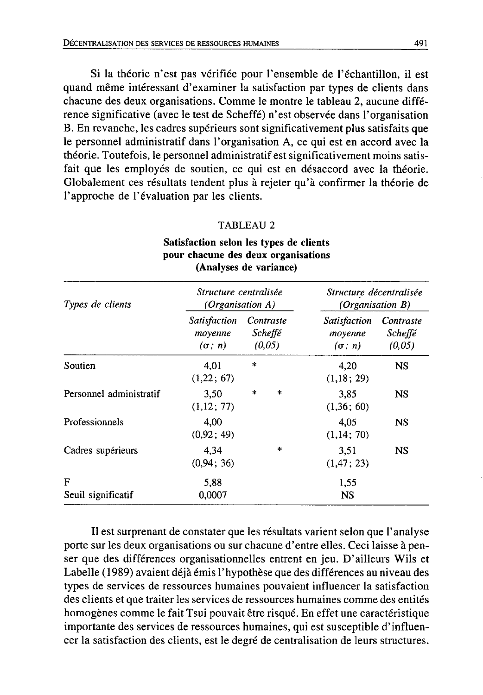Si la théorie n'est pas vérifiée pour l'ensemble de l'échantillon, il est quand même intéressant d'examiner la satisfaction par types de clients dans chacune des deux organisations. Comme le montre le tableau 2, aucune différence significative (avec le test de Scheffé) n'est observée dans l'organisation B. En revanche, les cadres supérieurs sont significativement plus satisfaits que le personnel administratif dans l'organisation A, ce qui est en accord avec la théorie. Toutefois, le personnel administratif est significativement moins satisfait que les employés de soutien, ce qui est en désaccord avec la théorie. Globalement ces résultats tendent plus à rejeter qu'à confirmer la théorie de l'approche de l'évaluation par les clients.

#### TABLEAU 2

| Types de clients        | Structure centralisée<br>(Organisation A)       |                                              | Structure décentralisée<br>(Organisation $B$ )  |                                |  |
|-------------------------|-------------------------------------------------|----------------------------------------------|-------------------------------------------------|--------------------------------|--|
|                         | <i>Satisfaction</i><br>moyenne<br>$(\sigma; n)$ | Contraste<br><i><b>Scheffé</b></i><br>(0,05) | <b>Satisfaction</b><br>moyenne<br>$(\sigma; n)$ | Contraste<br>Scheffé<br>(0,05) |  |
| Soutien                 | 4,01<br>(1,22:67)                               | $\ast$                                       | 4.20<br>(1,18; 29)                              | <b>NS</b>                      |  |
| Personnel administratif | 3.50<br>(1,12; 77)                              | *<br>*                                       | 3.85<br>(1,36:60)                               | <b>NS</b>                      |  |
| Professionnels          | 4,00<br>(0.92; 49)                              |                                              | 4.05<br>(1,14; 70)                              | <b>NS</b>                      |  |
| Cadres supérieurs       | 4.34<br>(0.94:36)                               | *                                            | 3.51<br>(1, 47; 23)                             | <b>NS</b>                      |  |
| F<br>Seuil significatif | 5.88<br>0,0007                                  |                                              | 1,55<br>NS                                      |                                |  |

## Satisfaction selon les types de clients pour chacune des deux organisations (Analyses de variance)

Il est surprenant de constater que les résultats varient selon que l'analyse porte sur les deux organisations ou sur chacune d'entre elles. Ceci laisse à penser que des différences organisationnelles entrent en jeu. D'ailleurs Wils et Labelle (1989) avaient déjà émis l'hypothèse que des différences au niveau des types de services de ressources humaines pouvaient influencer la satisfaction des clients et que traiter les services de ressources humaines comme des entités homogènes comme le fait Tsui pouvait être risqué. En effet une caractéristique importante des services de ressources humaines, qui est susceptible d'influencer la satisfaction des clients, est le degré de centralisation de leurs structures.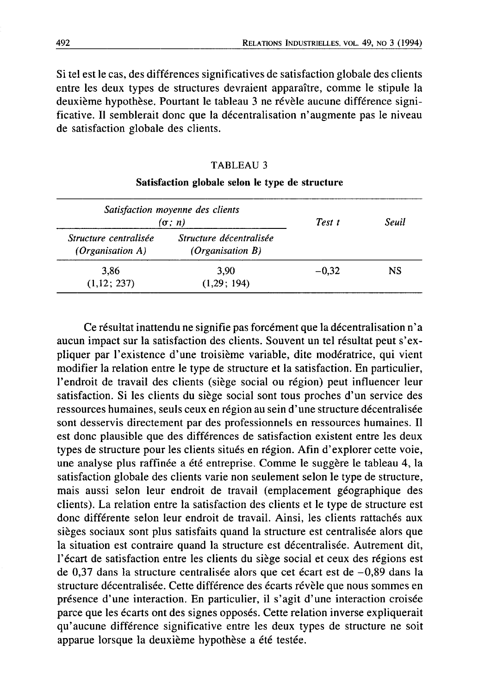Si tel est le cas, des différences significatives de satisfaction globale des clients entre les deux types de structures devraient apparaître, comme le stipule la deuxième hypothèse. Pourtant le tableau 3 ne révèle aucune différence significative. Il semblerait donc que la décentralisation n'augmente pas le niveau de satisfaction globale des clients.

#### **TABLEAU 3**

| Satisfaction moyenne des clients<br>$(\sigma; n)$ | Test t                                      | Seuil   |    |  |
|---------------------------------------------------|---------------------------------------------|---------|----|--|
| Structure centralisée<br>(Organisation $A$ )      | Structure décentralisée<br>(Organisation B) |         |    |  |
| 3.86<br>(1,12; 237)                               | 3.90<br>(1.29:194)                          | $-0.32$ | NS |  |

#### Satisfaction globale selon le type de structure

Ce résultat inattendu ne signifie pas forcément que la décentralisation n'a aucun impact sur la satisfaction des clients. Souvent un tel résultat peut s'expliquer par l'existence d'une troisième variable, dite modératrice, qui vient modifier la relation entre le type de structure et la satisfaction. En particulier, l'endroit de travail des clients (siège social ou région) peut influencer leur satisfaction. Si les clients du siège social sont tous proches d'un service des ressources humaines, seuls ceux en région au sein d'une structure décentralisée sont desservis directement par des professionnels en ressources humaines. Il est donc plausible que des différences de satisfaction existent entre les deux types de structure pour les clients situés en région. Afin d'explorer cette voie, une analyse plus raffinée a été entreprise. Comme le suggère le tableau 4, la satisfaction globale des clients varie non seulement selon le type de structure, mais aussi selon leur endroit de travail (emplacement géographique des clients). La relation entre la satisfaction des clients et le type de structure est donc différente selon leur endroit de travail. Ainsi, les clients rattachés aux sièges sociaux sont plus satisfaits quand la structure est centralisée alors que la situation est contraire quand la structure est décentralisée. Autrement dit, l'écart de satisfaction entre les clients du siège social et ceux des régions est de 0,37 dans la structure centralisée alors que cet écart est de  $-0,89$  dans la structure décentralisée. Cette différence des écarts révèle que nous sommes en présence d'une interaction. En particulier, il s'agit d'une interaction croisée parce que les écarts ont des signes opposés. Cette relation inverse expliquerait qu'aucune différence significative entre les deux types de structure ne soit apparue lorsque la deuxième hypothèse a été testée.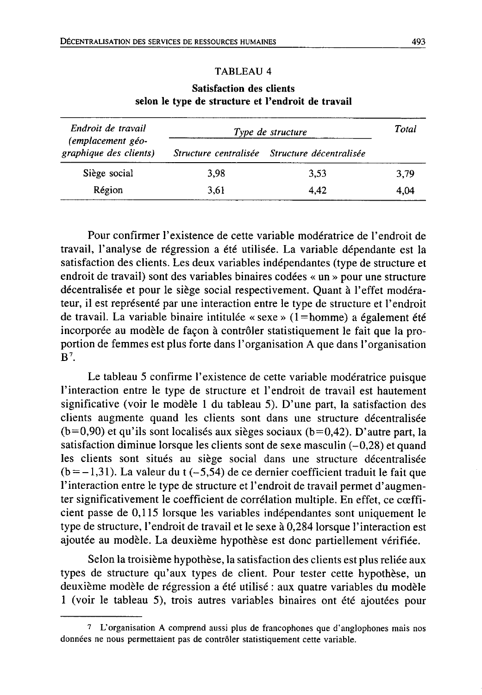#### **TABLEAU 4**

| Endroit de travail                          | Type de structure | Total                                         |      |
|---------------------------------------------|-------------------|-----------------------------------------------|------|
| (emplacement géo-<br>graphique des clients) |                   | Structure centralisée Structure décentralisée |      |
| Siège social                                | 3.98              | 3.53                                          | 3.79 |
| Région                                      | 3.61              | 4.42                                          | 4.04 |

#### **Satisfaction des clients** selon le type de structure et l'endroit de travail

Pour confirmer l'existence de cette variable modératrice de l'endroit de travail, l'analyse de régression a été utilisée. La variable dépendante est la satisfaction des clients. Les deux variables indépendantes (type de structure et endroit de travail) sont des variables binaires codées « un » pour une structure décentralisée et pour le siège social respectivement. Quant à l'effet modérateur, il est représenté par une interaction entre le type de structure et l'endroit de travail. La variable binaire intitulée « sexe » ( $1$ = homme) a également été incorporée au modèle de façon à contrôler statistiquement le fait que la proportion de femmes est plus forte dans l'organisation A que dans l'organisation  $\mathbf{R}^7$ 

Le tableau 5 confirme l'existence de cette variable modératrice puisque l'interaction entre le type de structure et l'endroit de travail est hautement significative (voir le modèle 1 du tableau 5). D'une part, la satisfaction des clients augmente quand les clients sont dans une structure décentralisée  $(b=0.90)$  et qu'ils sont localisés aux sièges sociaux  $(b=0.42)$ . D'autre part, la satisfaction diminue lorsque les clients sont de sexe masculin  $(-0.28)$  et quand les clients sont situés au siège social dans une structure décentralisée  $(b=-1,31)$ . La valeur du t  $(-5,54)$  de ce dernier coefficient traduit le fait que l'interaction entre le type de structure et l'endroit de travail permet d'augmenter significativement le coefficient de corrélation multiple. En effet, ce cœfficient passe de 0,115 lorsque les variables indépendantes sont uniquement le type de structure, l'endroit de travail et le sexe à 0,284 lorsque l'interaction est ajoutée au modèle. La deuxième hypothèse est donc partiellement vérifiée.

Selon la troisième hypothèse, la satisfaction des clients est plus reliée aux types de structure qu'aux types de client. Pour tester cette hypothèse, un deuxième modèle de régression a été utilisé : aux quatre variables du modèle 1 (voir le tableau 5), trois autres variables binaires ont été ajoutées pour

<sup>7</sup> L'organisation A comprend aussi plus de francophones que d'anglophones mais nos données ne nous permettaient pas de contrôler statistiquement cette variable.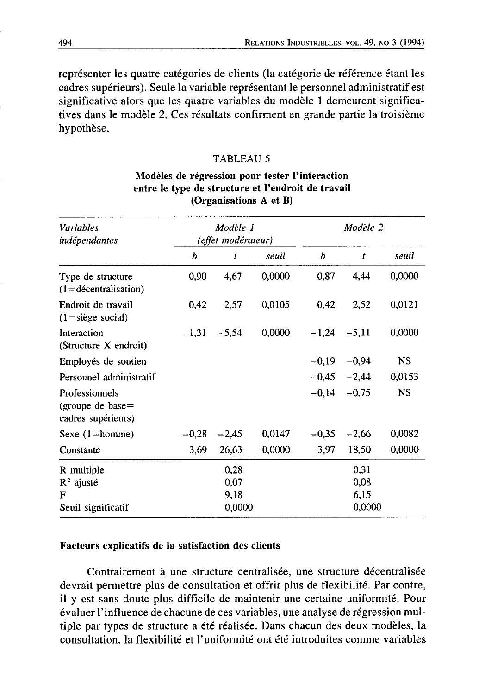représenter les quatre catégories de clients (la catégorie de référence étant les cadres supérieurs). Seule la variable représentant le personnel administratif est significative alors que les quatre variables du modèle 1 demeurent significatives dans le modèle 2. Ces résultats confirment en grande partie la troisième hypothèse.

#### **TABLEAU 5**

### Modèles de régression pour tester l'interaction entre le type de structure et l'endroit de travail (Organisations A et B)

| <b>Variables</b><br>indépendantes                           |         | Modèle 1<br>(effet modérateur) |        |                | Modèle 2       |           |  |
|-------------------------------------------------------------|---------|--------------------------------|--------|----------------|----------------|-----------|--|
|                                                             | b       | t                              | seuil  | b              | t              | seuil     |  |
| Type de structure<br>$(1 =$ décentralisation)               | 0,90    | 4,67                           | 0,0000 | 0.87           | 4,44           | 0,0000    |  |
| Endroit de travail<br>$(1 = \text{single social})$          | 0,42    | 2,57                           | 0,0105 | 0.42           | 2,52           | 0,0121    |  |
| Interaction<br>(Structure X endroit)                        |         | $-1,31 -5,54$                  | 0,0000 | $-1.24 - 5.11$ |                | 0,0000    |  |
| Employés de soutien                                         |         |                                |        |                | $-0.19 - 0.94$ | <b>NS</b> |  |
| Personnel administratif                                     |         |                                |        |                | $-0.45 -2.44$  | 0,0153    |  |
| Professionnels<br>(groupe de base $=$<br>cadres supérieurs) |         |                                |        |                | $-0,14 -0,75$  | <b>NS</b> |  |
| Sexe $(1)$ =homme)                                          | $-0.28$ | $-2,45$                        | 0,0147 | $-0,35$        | $-2,66$        | 0,0082    |  |
| Constante                                                   | 3,69    | 26,63                          | 0,0000 | 3,97           | 18,50          | 0,0000    |  |
| R multiple                                                  |         | 0,28                           |        |                | 0,31           |           |  |
| $R^2$ ajusté                                                |         | 0,07                           |        |                | 0,08           |           |  |
| F<br>Seuil significatif                                     |         | 9,18<br>0,0000                 |        |                | 6,15<br>0,0000 |           |  |

#### Facteurs explicatifs de la satisfaction des clients

Contrairement à une structure centralisée, une structure décentralisée devrait permettre plus de consultation et offrir plus de flexibilité. Par contre, il y est sans doute plus difficile de maintenir une certaine uniformité. Pour évaluer l'influence de chacune de ces variables, une analyse de régression multiple par types de structure a été réalisée. Dans chacun des deux modèles, la consultation, la flexibilité et l'uniformité ont été introduites comme variables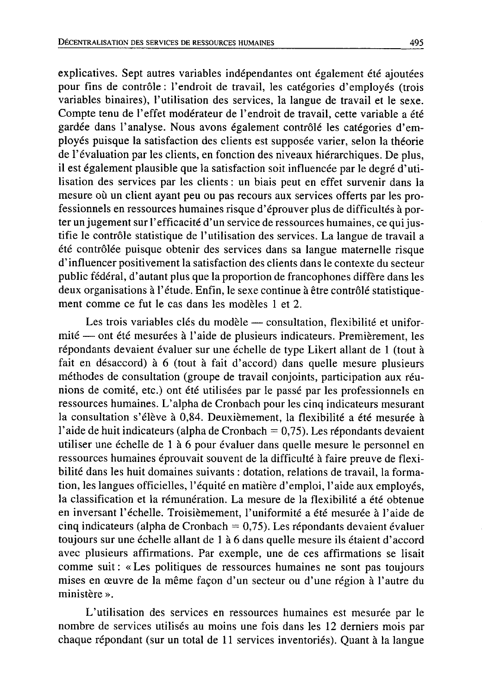explicatives. Sept autres variables indépendantes ont également été ajoutées pour fins de contrôle : l'endroit de travail, les catégories d'employés (trois variables binaires), l'utilisation des services, la langue de travail et le sexe. Compte tenu de l'effet modérateur de l'endroit de travail, cette variable a été gardée dans l'analyse. Nous avons également contrôlé les catégories d'employés puisque la satisfaction des clients est supposée varier, selon la théorie de l'évaluation par les clients, en fonction des niveaux hiérarchiques. De plus, il est également plausible que la satisfaction soit influencée par le degré d'utilisation des services par les clients : un biais peut en effet survenir dans la mesure où un client avant peu ou pas recours aux services offerts par les professionnels en ressources humaines risque d'éprouver plus de difficultés à porter un jugement sur l'efficacité d'un service de ressources humaines, ce qui justifie le contrôle statistique de l'utilisation des services. La langue de travail a été contrôlée puisque obtenir des services dans sa langue maternelle risque d'influencer positivement la satisfaction des clients dans le contexte du secteur public fédéral, d'autant plus que la proportion de francophones diffère dans les deux organisations à l'étude. Enfin, le sexe continue à être contrôlé statistiquement comme ce fut le cas dans les modèles 1 et 2.

Les trois variables clés du modèle — consultation, flexibilité et uniformité — ont été mesurées à l'aide de plusieurs indicateurs. Premièrement, les répondants devaient évaluer sur une échelle de type Likert allant de 1 (tout à fait en désaccord) à 6 (tout à fait d'accord) dans quelle mesure plusieurs méthodes de consultation (groupe de travail conjoints, participation aux réunions de comité, etc.) ont été utilisées par le passé par les professionnels en ressources humaines. L'alpha de Cronbach pour les cinq indicateurs mesurant la consultation s'élève à 0,84. Deuxièmement, la flexibilité a été mesurée à l'aide de huit indicateurs (alpha de Cronbach =  $0,75$ ). Les répondants devaient utiliser une échelle de 1 à 6 pour évaluer dans quelle mesure le personnel en ressources humaines éprouvait souvent de la difficulté à faire preuve de flexibilité dans les huit domaines suivants : dotation, relations de travail, la formation, les langues officielles, l'équité en matière d'emploi, l'aide aux employés, la classification et la rémunération. La mesure de la flexibilité a été obtenue en inversant l'échelle. Troisièmement, l'uniformité a été mesurée à l'aide de cinq indicateurs (alpha de Cronbach =  $0.75$ ). Les répondants devaient évaluer toujours sur une échelle allant de 1 à 6 dans quelle mesure ils étaient d'accord avec plusieurs affirmations. Par exemple, une de ces affirmations se lisait comme suit: «Les politiques de ressources humaines ne sont pas toujours mises en œuvre de la même façon d'un secteur ou d'une région à l'autre du ministère ».

L'utilisation des services en ressources humaines est mesurée par le nombre de services utilisés au moins une fois dans les 12 derniers mois par chaque répondant (sur un total de 11 services inventoriés). Quant à la langue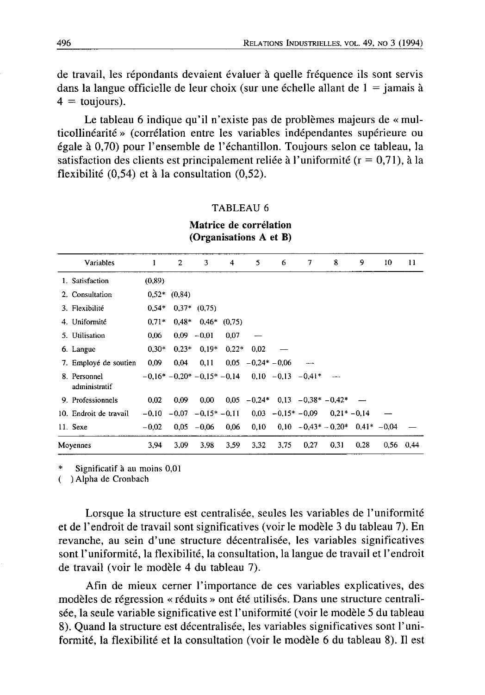de travail, les répondants devaient évaluer à quelle fréquence ils sont servis dans la langue officielle de leur choix (sur une échelle allant de  $1 =$ jamais à  $4 = \text{toujours}$ .

Le tableau 6 indique qu'il n'existe pas de problèmes majeurs de « multicollinéarité » (corrélation entre les variables indépendantes supérieure ou égale à 0,70) pour l'ensemble de l'échantillon. Toujours selon ce tableau, la satisfaction des clients est principalement reliée à l'uniformité ( $r = 0.71$ ), à la flexibilité  $(0,54)$  et à la consultation  $(0,52)$ .

#### **TABLEAU 6**

| Variables                     | 1       | $\mathbf{2}$         | 3              | 4                        | 5.             | 6    | $\tau$                                             | 8                                       | 9    | 10 | 11          |
|-------------------------------|---------|----------------------|----------------|--------------------------|----------------|------|----------------------------------------------------|-----------------------------------------|------|----|-------------|
|                               |         |                      |                |                          |                |      |                                                    |                                         |      |    |             |
| 1. Satisfaction               | (0.89)  |                      |                |                          |                |      |                                                    |                                         |      |    |             |
| 2. Consultation               |         | $0.52*$ $(0.84)$     |                |                          |                |      |                                                    |                                         |      |    |             |
| 3. Flexibilité                | $0.54*$ |                      | $0.37*$ (0.75) |                          |                |      |                                                    |                                         |      |    |             |
| 4. Uniformité                 | $0.71*$ |                      |                | $0.48*$ $0.46*$ $(0.75)$ |                |      |                                                    |                                         |      |    |             |
| 5. Utilisation                | 0,06    |                      | $0,09 -0,01$   | 0,07                     |                |      |                                                    |                                         |      |    |             |
| 6. Langue                     | $0.30*$ |                      | $0.23*$ 0.19*  | $0.22*$                  | 0.02           |      |                                                    |                                         |      |    |             |
| 7. Employé de soutien         | 0.09    | 0.04                 | 0.11           | 0.05                     | $-0.24* -0.06$ |      |                                                    |                                         |      |    |             |
| 8. Personnel<br>administratif |         |                      |                |                          |                |      | $-0.16* -0.20* -0.15* -0.14$ 0.10 $-0.13$ $-0.41*$ |                                         |      |    |             |
| 9. Professionnels             | 0,02    | 0,09                 | 0.00           |                          |                |      | $0.05 -0.24* 0.13 -0.38*-0.42*$                    |                                         |      |    |             |
| 10. Endroit de travail        | $-0.10$ | $-0.07 -0.15* -0.11$ |                |                          |                |      | $0.03 -0.15* -0.09$                                | $0.21* -0.14$                           |      |    |             |
| 11. Sexe                      | $-0,02$ |                      | $0.05 - 0.06$  | 0,06                     | 0,10           |      |                                                    | $0.10 - 0.43^* - 0.20^*$ $0.41^*$ -0.04 |      |    |             |
| Moyennes                      | 3,94    | 3,09                 | 3,98           | 3,59                     | 3,32           | 3,75 | 0,27                                               | 0,31                                    | 0.28 |    | $0.56$ 0.44 |

Matrice de corrélation (Organisations A et B)

Significatif à au moins 0,01

( ) Alpha de Cronbach

Lorsque la structure est centralisée, seules les variables de l'uniformité et de l'endroit de travail sont significatives (voir le modèle 3 du tableau 7). En revanche, au sein d'une structure décentralisée, les variables significatives sont l'uniformité, la flexibilité, la consultation, la langue de travail et l'endroit de travail (voir le modèle 4 du tableau 7).

Afin de mieux cerner l'importance de ces variables explicatives, des modèles de régression « réduits » ont été utilisés. Dans une structure centralisée, la seule variable significative est l'uniformité (voir le modèle 5 du tableau 8). Quand la structure est décentralisée, les variables significatives sont l'uniformité, la flexibilité et la consultation (voir le modèle 6 du tableau 8). Il est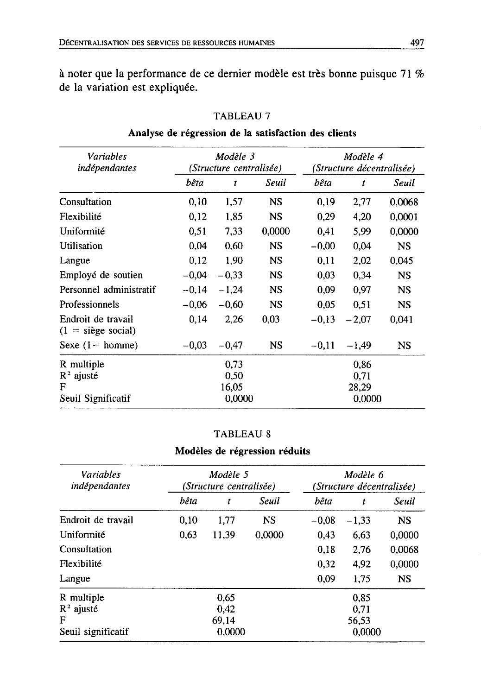à noter que la performance de ce dernier modèle est très bonne puisque 71 % de la variation est expliquée.

| Variables<br>indépendantes                |         | Modèle 3<br>(Structure centralisée) |           | Modèle 4<br>(Structure décentralisée) |         |           |
|-------------------------------------------|---------|-------------------------------------|-----------|---------------------------------------|---------|-----------|
|                                           | bêta    | t                                   | Seuil     | bêta                                  | t       | Seuil     |
| Consultation                              | 0,10    | 1,57                                | <b>NS</b> | 0,19                                  | 2,77    | 0.0068    |
| Flexibilité                               | 0,12    | 1,85                                | NS.       | 0.29                                  | 4.20    | 0,0001    |
| Uniformité                                | 0.51    | 7.33                                | 0,0000    | 0.41                                  | 5.99    | 0,0000    |
| Utilisation                               | 0,04    | 0,60                                | <b>NS</b> | $-0,00$                               | 0,04    | NS        |
| Langue                                    | 0,12    | 1,90                                | <b>NS</b> | 0.11                                  | 2,02    | 0,045     |
| Employé de soutien                        | $-0.04$ | $-0.33$                             | <b>NS</b> | 0.03                                  | 0.34    | <b>NS</b> |
| Personnel administratif                   | $-0.14$ | $-1,24$                             | <b>NS</b> | 0.09                                  | 0.97    | <b>NS</b> |
| Professionnels                            | $-0.06$ | $-0.60$                             | <b>NS</b> | 0.05                                  | 0.51    | NS        |
| Endroit de travail<br>$(1 = size social)$ | 0.14    | 2,26                                | 0,03      | $-0.13$                               | $-2.07$ | 0,041     |
| Sexe $(1 = \text{home})$                  | $-0.03$ | $-0,47$                             | NS.       | $-0.11$                               | $-1.49$ | NS        |
| R multiple                                |         | 0.73                                |           |                                       | 0.86    |           |
| $R^2$ ajusté                              |         | 0,50                                |           |                                       | 0,71    |           |
| F                                         |         | 16.05                               |           |                                       | 28,29   |           |
| Seuil Significatif                        |         | 0.0000                              |           | 0.0000                                |         |           |

## TABLEAU 7

## Analyse de régression de la satisfaction des clients

#### **TABLEAU 8**

## Modèles de régression réduits

| <b>Variables</b><br>indépendantes |      | Modèle 5<br>(Structure centralisée) |           | Modèle 6<br>(Structure décentralisée) |         |           |  |
|-----------------------------------|------|-------------------------------------|-----------|---------------------------------------|---------|-----------|--|
|                                   | bêta | t                                   | Seuil     | bêta                                  | t       | Seuil     |  |
| Endroit de travail                | 0.10 | 1,77                                | <b>NS</b> | $-0.08$                               | $-1,33$ | <b>NS</b> |  |
| Uniformité                        | 0,63 | 11,39                               | 0.0000    | 0.43                                  | 6.63    | 0.0000    |  |
| Consultation                      |      |                                     |           | 0.18                                  | 2,76    | 0.0068    |  |
| Flexibilité                       |      |                                     |           | 0.32                                  | 4,92    | 0.0000    |  |
| Langue                            |      |                                     |           | 0.09                                  | 1.75    | <b>NS</b> |  |
| R multiple                        |      | 0.65                                |           |                                       | 0.85    |           |  |
| $R^2$ ajusté                      |      | 0.42                                |           |                                       | 0,71    |           |  |
| F                                 |      | 69.14                               |           |                                       | 56.53   |           |  |
| Seuil significatif                |      | 0.0000                              |           | 0.0000                                |         |           |  |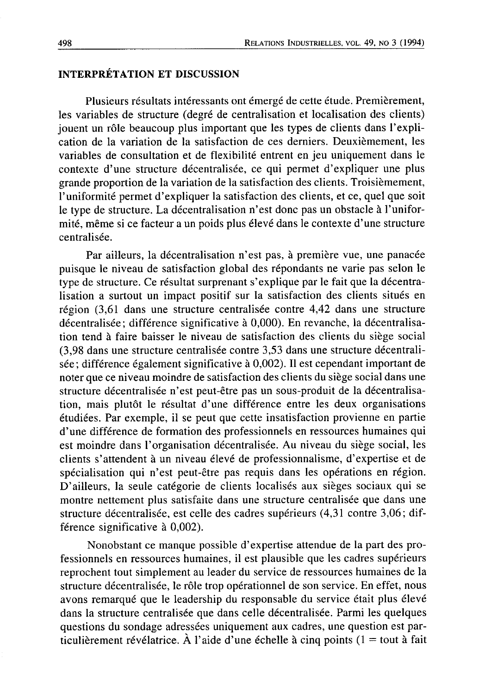### **INTERPRÉTATION ET DISCUSSION**

Plusieurs résultats intéressants ont émergé de cette étude. Premièrement, les variables de structure (degré de centralisation et localisation des clients) jouent un rôle beaucoup plus important que les types de clients dans l'explication de la variation de la satisfaction de ces derniers. Deuxièmement, les variables de consultation et de flexibilité entrent en jeu uniquement dans le contexte d'une structure décentralisée, ce qui permet d'expliquer une plus grande proportion de la variation de la satisfaction des clients. Troisièmement, l'uniformité permet d'expliquer la satisfaction des clients, et ce, quel que soit le type de structure. La décentralisation n'est donc pas un obstacle à l'uniformité, même si ce facteur a un poids plus élevé dans le contexte d'une structure centralisée.

Par ailleurs, la décentralisation n'est pas, à première vue, une panacée puisque le niveau de satisfaction global des répondants ne varie pas selon le type de structure. Ce résultat surprenant s'explique par le fait que la décentralisation a surtout un impact positif sur la satisfaction des clients situés en région (3,61 dans une structure centralisée contre 4,42 dans une structure décentralisée; différence significative à 0,000). En revanche, la décentralisation tend à faire baisser le niveau de satisfaction des clients du siège social (3,98 dans une structure centralisée contre 3,53 dans une structure décentralisée; différence également significative à 0,002). Il est cependant important de noter que ce niveau moindre de satisfaction des clients du siège social dans une structure décentralisée n'est peut-être pas un sous-produit de la décentralisation, mais plutôt le résultat d'une différence entre les deux organisations étudiées. Par exemple, il se peut que cette insatisfaction provienne en partie d'une différence de formation des professionnels en ressources humaines qui est moindre dans l'organisation décentralisée. Au niveau du siège social, les clients s'attendent à un niveau élevé de professionnalisme, d'expertise et de spécialisation qui n'est peut-être pas requis dans les opérations en région. D'ailleurs, la seule catégorie de clients localisés aux sièges sociaux qui se montre nettement plus satisfaite dans une structure centralisée que dans une structure décentralisée, est celle des cadres supérieurs (4,31 contre 3,06; différence significative à 0,002).

Nonobstant ce manque possible d'expertise attendue de la part des professionnels en ressources humaines, il est plausible que les cadres supérieurs reprochent tout simplement au leader du service de ressources humaines de la structure décentralisée, le rôle trop opérationnel de son service. En effet, nous avons remarqué que le leadership du responsable du service était plus élevé dans la structure centralisée que dans celle décentralisée. Parmi les quelques questions du sondage adressées uniquement aux cadres, une question est particulièrement révélatrice. À l'aide d'une échelle à cinq points (1 = tout à fait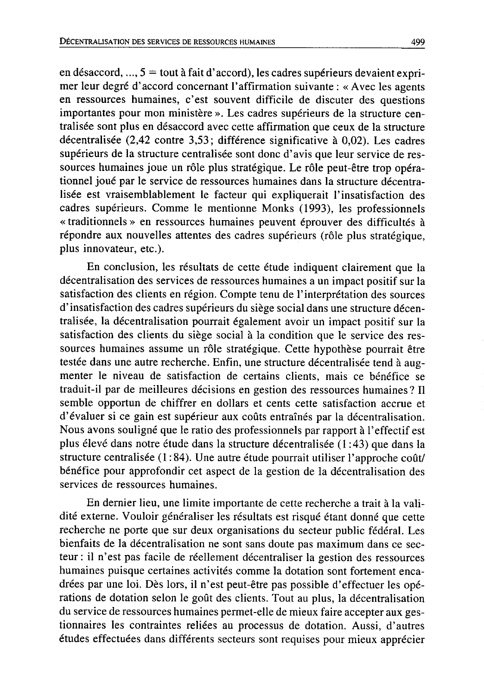en désaccord, ...,  $5 = \text{tout}$  à fait d'accord), les cadres supérieurs devaient exprimer leur degré d'accord concernant l'affirmation suivante : « Avec les agents en ressources humaines, c'est souvent difficile de discuter des questions importantes pour mon ministère ». Les cadres supérieurs de la structure centralisée sont plus en désaccord avec cette affirmation que ceux de la structure décentralisée (2,42 contre 3,53; différence significative à 0,02). Les cadres supérieurs de la structure centralisée sont donc d'avis que leur service de ressources humaines joue un rôle plus stratégique. Le rôle peut-être trop opérationnel joué par le service de ressources humaines dans la structure décentralisée est vraisemblablement le facteur qui expliquerait l'insatisfaction des cadres supérieurs. Comme le mentionne Monks (1993), les professionnels « traditionnels » en ressources humaines peuvent éprouver des difficultés à répondre aux nouvelles attentes des cadres supérieurs (rôle plus stratégique, plus innovateur, etc.).

En conclusion, les résultats de cette étude indiquent clairement que la décentralisation des services de ressources humaines a un impact positif sur la satisfaction des clients en région. Compte tenu de l'interprétation des sources d'insatisfaction des cadres supérieurs du siège social dans une structure décentralisée, la décentralisation pourrait également avoir un impact positif sur la satisfaction des clients du siège social à la condition que le service des ressources humaines assume un rôle stratégique. Cette hypothèse pourrait être testée dans une autre recherche. Enfin, une structure décentralisée tend à augmenter le niveau de satisfaction de certains clients, mais ce bénéfice se traduit-il par de meilleures décisions en gestion des ressources humaines? Il semble opportun de chiffrer en dollars et cents cette satisfaction accrue et d'évaluer si ce gain est supérieur aux coûts entraînés par la décentralisation. Nous avons souligné que le ratio des professionnels par rapport à l'effectif est plus élevé dans notre étude dans la structure décentralisée (1:43) que dans la structure centralisée  $(1:84)$ . Une autre étude pourrait utiliser l'approche coût/ bénéfice pour approfondir cet aspect de la gestion de la décentralisation des services de ressources humaines.

En dernier lieu, une limite importante de cette recherche a trait à la validité externe. Vouloir généraliser les résultats est risqué étant donné que cette recherche ne porte que sur deux organisations du secteur public fédéral. Les bienfaits de la décentralisation ne sont sans doute pas maximum dans ce secteur : il n'est pas facile de réellement décentraliser la gestion des ressources humaines puisque certaines activités comme la dotation sont fortement encadrées par une loi. Dès lors, il n'est peut-être pas possible d'effectuer les opérations de dotation selon le goût des clients. Tout au plus, la décentralisation du service de ressources humaines permet-elle de mieux faire accepter aux gestionnaires les contraintes reliées au processus de dotation. Aussi, d'autres études effectuées dans différents secteurs sont requises pour mieux apprécier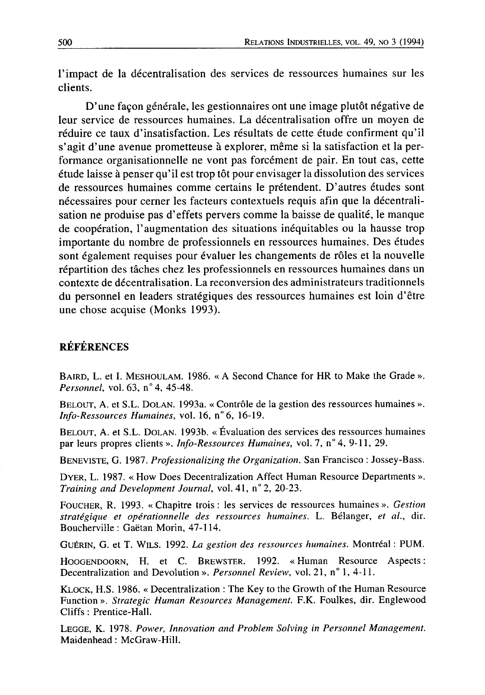l'impact de la décentralisation des services de ressources humaines sur les clients.

D'une façon générale, les gestionnaires ont une image plutôt négative de leur service de ressources humaines. La décentralisation offre un moyen de réduire ce taux d'insatisfaction. Les résultats de cette étude confirment qu'il s'agit d'une avenue prometteuse à explorer, même si la satisfaction et la performance organisationnelle ne vont pas forcément de pair. En tout cas, cette étude laisse à penser qu'il est trop tôt pour envisager la dissolution des services de ressources humaines comme certains le prétendent. D'autres études sont nécessaires pour cerner les facteurs contextuels requis afin que la décentralisation ne produise pas d'effets pervers comme la baisse de qualité, le manque de coopération, l'augmentation des situations inéquitables ou la hausse trop importante du nombre de professionnels en ressources humaines. Des études sont également requises pour évaluer les changements de rôles et la nouvelle répartition des tâches chez les professionnels en ressources humaines dans un contexte de décentralisation. La reconversion des administrateurs traditionnels du personnel en leaders stratégiques des ressources humaines est loin d'être une chose acquise (Monks 1993).

## **RÉFÉRENCES**

BAIRD, L. et I. MESHOULAM. 1986. « A Second Chance for HR to Make the Grade ». Personnel, vol. 63, n° 4, 45-48.

BELOUT, A. et S.L. DOLAN. 1993a. « Contrôle de la gestion des ressources humaines ». Info-Ressources Humaines, vol. 16, n° 6, 16-19.

BELOUT, A. et S.L. DOLAN. 1993b. « Évaluation des services des ressources humaines par leurs propres clients ». Info-Ressources Humaines, vol. 7, n° 4, 9-11, 29.

BENEVISTE, G. 1987. Professionalizing the Organization. San Francisco: Jossey-Bass.

DYER, L. 1987. « How Does Decentralization Affect Human Resource Departments ». Training and Development Journal, vol. 41, n° 2, 20-23.

FOUCHER, R. 1993. « Chapitre trois : les services de ressources humaines ». Gestion stratégique et opérationnelle des ressources humaines. L. Bélanger, et al., dir. Boucherville : Gaëtan Morin, 47-114.

GUÉRIN, G. et T. WILS. 1992. La gestion des ressources humaines. Montréal : PUM.

HOOGENDOORN, H. et C. BREWSTER. 1992. «Human Resource Aspects: Decentralization and Devolution ». Personnel Review, vol. 21, n° 1, 4-11.

KLOCK, H.S. 1986. « Decentralization : The Key to the Growth of the Human Resource Function ». Strategic Human Resources Management. F.K. Foulkes, dir. Englewood Cliffs: Prentice-Hall.

LEGGE, K. 1978. Power, Innovation and Problem Solving in Personnel Management. Maidenhead: McGraw-Hill.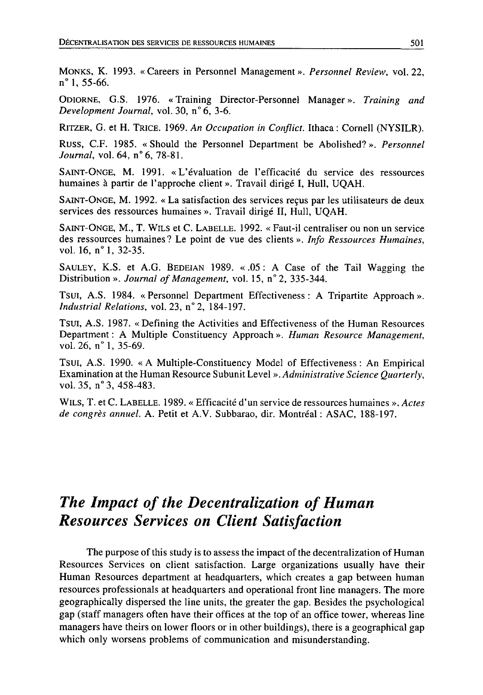MONKS, K. 1993. «Careers in Personnel Management». Personnel Review, vol. 22, n° 1, 55-66.

ODIORNE, G.S. 1976. «Training Director-Personnel Manager». Training and Development Journal, vol. 30, n° 6, 3-6.

RITZER, G. et H. TRICE. 1969. An Occupation in Conflict. Ithaca: Cornell (NYSILR).

Russ, C.F. 1985. «Should the Personnel Department be Abolished?». Personnel Journal, vol. 64, n° 6, 78-81.

SAINT-ONGE, M. 1991. « L'évaluation de l'efficacité du service des ressources humaines à partir de l'approche client ». Travail dirigé I, Hull, UQAH.

SAINT-ONGE, M. 1992. « La satisfaction des services reçus par les utilisateurs de deux services des ressources humaines ». Travail dirigé II, Hull, UQAH.

SAINT-ONGE, M., T. WILS et C. LABELLE. 1992. « Faut-il centraliser ou non un service des ressources humaines? Le point de vue des clients ». Info Ressources Humaines, vol. 16, n° 1, 32-35.

SAULEY, K.S. et A.G. BEDEIAN 1989. «.05: A Case of the Tail Wagging the Distribution ». Journal of Management, vol. 15, n° 2, 335-344.

TSUI, A.S. 1984. « Personnel Department Effectiveness : A Tripartite Approach ». Industrial Relations, vol. 23, n° 2, 184-197.

TSUI, A.S. 1987. «Defining the Activities and Effectiveness of the Human Resources Department : A Multiple Constituency Approach ». Human Resource Management, vol. 26,  $n^{\circ}$  1, 35-69.

Tsui, A.S. 1990. «A Multiple-Constituency Model of Effectiveness: An Empirical Examination at the Human Resource Subunit Level ». Administrative Science Quarterly, vol. 35, n° 3, 458-483.

WILS, T. et C. LABELLE. 1989. « Efficacité d'un service de ressources humaines ». Actes de congrès annuel. A. Petit et A.V. Subbarao, dir. Montréal : ASAC, 188-197.

## The Impact of the Decentralization of Human **Resources Services on Client Satisfaction**

The purpose of this study is to assess the impact of the decentralization of Human Resources Services on client satisfaction. Large organizations usually have their Human Resources department at headquarters, which creates a gap between human resources professionals at headquarters and operational front line managers. The more geographically dispersed the line units, the greater the gap. Besides the psychological gap (staff managers often have their offices at the top of an office tower, whereas line managers have theirs on lower floors or in other buildings), there is a geographical gap which only worsens problems of communication and misunderstanding.